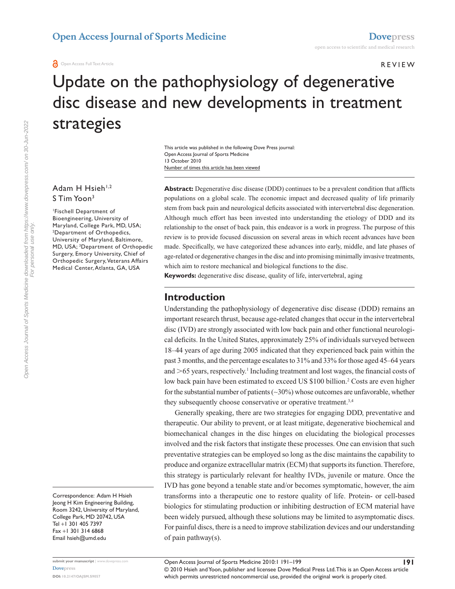#### **Open Access Journal of Sports Medicine [Dovepress](www.dovepress.com)**

**a** Open Access Full Text Article

Review

**191**

# Update on the pathophysiology of degenerative disc disease and new developments in treatment strategies

Number of times this article has been viewed This article was published in the following Dove Press journal: Open Access Journal of Sports Medicine 13 October 2010

Adam H Hsieh<sup>1,2</sup> S Tim Yoon3

1 Fischell Department of Bioengineering, University of Maryland, College Park, MD, USA; 2 Department of Orthopedics, University of Maryland, Baltimore, MD, USA; 3 Department of Orthopedic Surgery, Emory University, Chief of Orthopedic Surgery, Veterans Affairs Medical Center, Atlanta, GA, USA

Correspondence: Adam H Hsieh Jeong H Kim Engineering Building, Room 3242, University of Maryland, College Park, MD 20742, USA Tel +1 301 405 7397 Fax +1 301 314 6868 Email hsieh@umd.edu

**Abstract:** Degenerative disc disease (DDD) continues to be a prevalent condition that afflicts populations on a global scale. The economic impact and decreased quality of life primarily stem from back pain and neurological deficits associated with intervertebral disc degeneration. Although much effort has been invested into understanding the etiology of DDD and its relationship to the onset of back pain, this endeavor is a work in progress. The purpose of this review is to provide focused discussion on several areas in which recent advances have been made. Specifically, we have categorized these advances into early, middle, and late phases of age-related or degenerative changes in the disc and into promising minimally invasive treatments, which aim to restore mechanical and biological functions to the disc.

**Keywords:** degenerative disc disease, quality of life, intervertebral, aging

#### **Introduction**

Understanding the pathophysiology of degenerative disc disease (DDD) remains an important research thrust, because age-related changes that occur in the intervertebral disc (IVD) are strongly associated with low back pain and other functional neurological deficits. In the United States, approximately 25% of individuals surveyed between 18–44 years of age during 2005 indicated that they experienced back pain within the past 3 months, and the percentage escalates to 31% and 33% for those aged 45–64 years and  $>65$  years, respectively.<sup>1</sup> Including treatment and lost wages, the financial costs of low back pain have been estimated to exceed US \$100 billion.<sup>2</sup> Costs are even higher for the substantial number of patients (∼30%) whose outcomes are unfavorable, whether they subsequently choose conservative or operative treatment.<sup>3,4</sup>

Generally speaking, there are two strategies for engaging DDD, preventative and therapeutic. Our ability to prevent, or at least mitigate, degenerative biochemical and biomechanical changes in the disc hinges on elucidating the biological processes involved and the risk factors that instigate these processes. One can envision that such preventative strategies can be employed so long as the disc maintains the capability to produce and organize extracellular matrix (ECM) that supports its function. Therefore, this strategy is particularly relevant for healthy IVDs, juvenile or mature. Once the IVD has gone beyond a tenable state and/or becomes symptomatic, however, the aim transforms into a therapeutic one to restore quality of life. Protein- or cell-based biologics for stimulating production or inhibiting destruction of ECM material have been widely pursued, although these solutions may be limited to asymptomatic discs. For painful discs, there is a need to improve stabilization devices and our understanding of pain pathway(s).

© 2010 Hsieh and Yoon, publisher and licensee Dove Medical Press Ltd. This is an Open Access article which permits unrestricted noncommercial use, provided the original work is properly cited.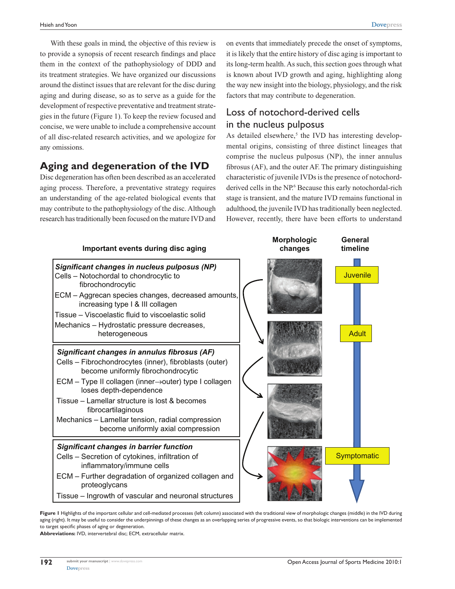With these goals in mind, the objective of this review is to provide a synopsis of recent research findings and place them in the context of the pathophysiology of DDD and its treatment strategies. We have organized our discussions around the distinct issues that are relevant for the disc during aging and during disease, so as to serve as a guide for the development of respective preventative and treatment strategies in the future (Figure 1). To keep the review focused and concise, we were unable to include a comprehensive account of all disc-related research activities, and we apologize for any omissions.

# **Aging and degeneration of the IVD**

Disc degeneration has often been described as an accelerated aging process. Therefore, a preventative strategy requires an understanding of the age-related biological events that may contribute to the pathophysiology of the disc. Although research has traditionally been focused on the mature IVD and on events that immediately precede the onset of symptoms, it is likely that the entire history of disc aging is important to its long-term health. As such, this section goes through what is known about IVD growth and aging, highlighting along the way new insight into the biology, physiology, and the risk factors that may contribute to degeneration.

## Loss of notochord-derived cells in the nucleus pulposus

As detailed elsewhere,<sup>5</sup> the IVD has interesting developmental origins, consisting of three distinct lineages that comprise the nucleus pulposus (NP), the inner annulus fibrosus (AF), and the outer AF. The primary distinguishing characteristic of juvenile IVDs is the presence of notochordderived cells in the NP.<sup>6</sup> Because this early notochordal-rich stage is transient, and the mature IVD remains functional in adulthood, the juvenile IVD has traditionally been neglected. However, recently, there have been efforts to understand



Figure I Highlights of the important cellular and cell-mediated processes (left column) associated with the traditional view of morphologic changes (middle) in the IVD during aging (right). It may be useful to consider the underpinnings of these changes as an overlapping series of progressive events, so that biologic interventions can be implemented to target specific phases of aging or degeneration.

**Abbreviations:** IVD, intervertebral disc; ECM, extracellular matrix.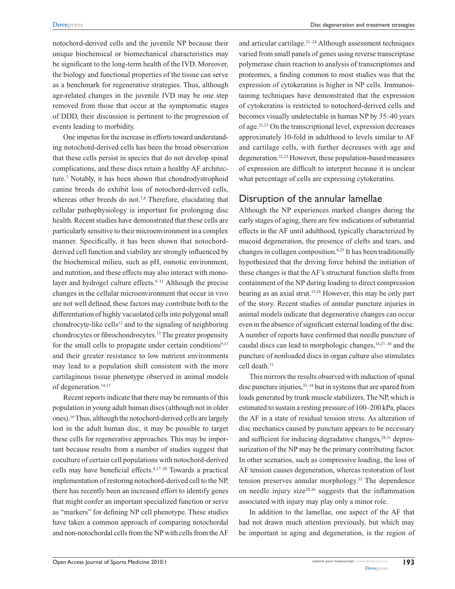notochord-derived cells and the juvenile NP because their unique biochemical or biomechanical characteristics may be significant to the long-term health of the IVD. Moreover, the biology and functional properties of the tissue can serve as a benchmark for regenerative strategies. Thus, although age-related changes in the juvenile IVD may be one step removed from those that occur at the symptomatic stages of DDD, their discussion is pertinent to the progression of events leading to morbidity.

One impetus for the increase in efforts toward understanding notochord-derived cells has been the broad observation that these cells persist in species that do not develop spinal complications, and these discs retain a healthy AF architecture.7 Notably, it has been shown that chondrodystrophoid canine breeds do exhibit loss of notochord-derived cells, whereas other breeds do not.<sup>7,8</sup> Therefore, elucidating that cellular pathophysiology is important for prolonging disc health. Recent studies have demonstrated that these cells are particularly sensitive to their microenvironment in a complex manner. Specifically, it has been shown that notochordderived cell function and viability are strongly influenced by the biochemical milieu, such as pH, osmotic environment, and nutrition, and these effects may also interact with monolayer and hydrogel culture effects.<sup>9-11</sup> Although the precise changes in the cellular microenvironment that occur in vivo are not well defined, these factors may contribute both to the differentiation of highly vacuolated cells into polygonal small chondrocyte-like cells<sup>12</sup> and to the signaling of neighboring chondrocytes or fibrochondrocytes.13 The greater propensity for the small cells to propagate under certain conditions<sup>9,11</sup> and their greater resistance to low nutrient environments may lead to a population shift consistent with the more cartilaginous tissue phenotype observed in animal models of degeneration.<sup>14,15</sup>

Recent reports indicate that there may be remnants of this population in young adult human discs (although not in older ones).16 Thus, although the notochord-derived cells are largely lost in the adult human disc, it may be possible to target these cells for regenerative approaches. This may be important because results from a number of studies suggest that coculture of certain cell populations with notochord-derived cells may have beneficial effects.8,17–20 Towards a practical implementation of restoring notochord-derived cell to the NP, there has recently been an increased effort to identify genes that might confer an important specialized function or serve as "markers" for defining NP cell phenotype. These studies have taken a common approach of comparing notochordal and non-notochordal cells from the NP with cells from the AF and articular cartilage. $21-24$  Although assessment techniques varied from small panels of genes using reverse transcriptase polymerase chain reaction to analysis of transcriptomes and proteomes, a finding common to most studies was that the expression of cytokeratins is higher in NP cells. Immunostaining techniques have demonstrated that the expression of cytokeratins is restricted to notochord-derived cells and becomes visually undetectable in human NP by 35–40 years of age.21,23 On the transcriptional level, expression decreases approximately 10-fold in adulthood to levels similar to AF and cartilage cells, with further decreases with age and degeneration.22,23 However, these population-based measures of expression are difficult to interpret because it is unclear what percentage of cells are expressing cytokeratins.

#### Disruption of the annular lamellae

Although the NP experiences marked changes during the early stages of aging, there are few indications of substantial effects in the AF until adulthood, typically characterized by mucoid degeneration, the presence of clefts and tears, and changes in collagen composition.<sup>6,25</sup> It has been traditionally hypothesized that the driving force behind the initiation of these changes is that the AF's structural function shifts from containment of the NP during loading to direct compression bearing as an axial strut.15,26 However, this may be only part of the story. Recent studies of annular puncture injuries in animal models indicate that degenerative changes can occur even in the absence of significant external loading of the disc. A number of reports have confirmed that needle puncture of caudal discs can lead to morphologic changes,<sup>14,27-30</sup> and the puncture of nonloaded discs in organ culture also stimulates cell death.<sup>31</sup>

This mirrors the results observed with induction of spinal disc puncture injuries,  $32-34$  but in systems that are spared from loads generated by trunk muscle stabilizers. The NP, which is estimated to sustain a resting pressure of 100–200 kPa, places the AF in a state of residual tension stress. As alteration of disc mechanics caused by puncture appears to be necessary and sufficient for inducing degradative changes, $28,31$  depressurization of the NP may be the primary contributing factor. In other scenarios, such as compressive loading, the loss of AF tension causes degeneration, whereas restoration of lost tension preserves annular morphology.35 The dependence on needle injury size $28,36$  suggests that the inflammation associated with injury may play only a minor role.

In addition to the lamellae, one aspect of the AF that had not drawn much attention previously, but which may be important in aging and degeneration, is the region of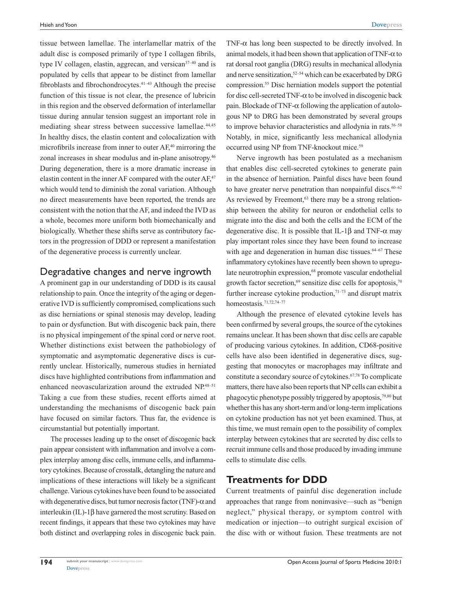tissue between lamellae. The interlamellar matrix of the adult disc is composed primarily of type I collagen fibrils, type IV collagen, elastin, aggrecan, and versican $37-40$  and is populated by cells that appear to be distinct from lamellar fibroblasts and fibrochondrocytes.41–43 Although the precise function of this tissue is not clear, the presence of lubricin in this region and the observed deformation of interlamellar tissue during annular tension suggest an important role in mediating shear stress between successive lamellae.<sup>44,45</sup> In healthy discs, the elastin content and colocalization with microfibrils increase from inner to outer  $AF<sub>1</sub><sup>40</sup>$  mirroring the zonal increases in shear modulus and in-plane anisotropy.46 During degeneration, there is a more dramatic increase in elastin content in the inner AF compared with the outer  $AF^{47}$ which would tend to diminish the zonal variation. Although no direct measurements have been reported, the trends are consistent with the notion that the AF, and indeed the IVD as a whole, becomes more uniform both biomechanically and biologically. Whether these shifts serve as contributory factors in the progression of DDD or represent a manifestation of the degenerative process is currently unclear.

### Degradative changes and nerve ingrowth

A prominent gap in our understanding of DDD is its causal relationship to pain. Once the integrity of the aging or degenerative IVD is sufficiently compromised, complications such as disc herniations or spinal stenosis may develop, leading to pain or dysfunction. But with discogenic back pain, there is no physical impingement of the spinal cord or nerve root. Whether distinctions exist between the pathobiology of symptomatic and asymptomatic degenerative discs is currently unclear. Historically, numerous studies in herniated discs have highlighted contributions from inflammation and enhanced neovascularization around the extruded NP.<sup>48–51</sup> Taking a cue from these studies, recent efforts aimed at understanding the mechanisms of discogenic back pain have focused on similar factors. Thus far, the evidence is circumstantial but potentially important.

The processes leading up to the onset of discogenic back pain appear consistent with inflammation and involve a complex interplay among disc cells, immune cells, and inflammatory cytokines. Because of crosstalk, detangling the nature and implications of these interactions will likely be a significant challenge. Various cytokines have been found to be associated with degenerative discs, but tumor necrosis factor (TNF)- $\alpha$  and interleukin (IL)-1 $\beta$  have garnered the most scrutiny. Based on recent findings, it appears that these two cytokines may have both distinct and overlapping roles in discogenic back pain.

TNF- $\alpha$  has long been suspected to be directly involved. In animal models, it had been shown that application of TNF- $\alpha$  to rat dorsal root ganglia (DRG) results in mechanical allodynia and nerve sensitization,<sup>52–54</sup> which can be exacerbated by DRG compression.55 Disc herniation models support the potential for disc cell-secreted TNF- $\alpha$  to be involved in discogenic back pain. Blockade of TNF- $\alpha$  following the application of autologous NP to DRG has been demonstrated by several groups to improve behavior characteristics and allodynia in rats.<sup>56-58</sup> Notably, in mice, significantly less mechanical allodynia occurred using NP from TNF-knockout mice.<sup>59</sup>

Nerve ingrowth has been postulated as a mechanism that enables disc cell-secreted cytokines to generate pain in the absence of herniation. Painful discs have been found to have greater nerve penetration than nonpainful discs. $60-62$ As reviewed by Freemont, $63$  there may be a strong relationship between the ability for neuron or endothelial cells to migrate into the disc and both the cells and the ECM of the degenerative disc. It is possible that IL-1 $\beta$  and TNF- $\alpha$  may play important roles since they have been found to increase with age and degeneration in human disc tissues. $64-67$  These inflammatory cytokines have recently been shown to upregulate neurotrophin expression,<sup>68</sup> promote vascular endothelial growth factor secretion, $69$  sensitize disc cells for apoptosis, $70$ further increase cytokine production, $7^{1-73}$  and disrupt matrix homeostasis.71,72,74–77

Although the presence of elevated cytokine levels has been confirmed by several groups, the source of the cytokines remains unclear. It has been shown that disc cells are capable of producing various cytokines. In addition, CD68-positive cells have also been identified in degenerative discs, suggesting that monocytes or macrophages may infiltrate and constitute a secondary source of cytokines.67,78 To complicate matters, there have also been reports that NP cells can exhibit a phagocytic phenotype possibly triggered by apoptosis,79,80 but whether this has any short-term and/or long-term implications on cytokine production has not yet been examined. Thus, at this time, we must remain open to the possibility of complex interplay between cytokines that are secreted by disc cells to recruit immune cells and those produced by invading immune cells to stimulate disc cells.

#### **Treatments for DDD**

Current treatments of painful disc degeneration include approaches that range from noninvasive—such as "benign neglect," physical therapy, or symptom control with medication or injection—to outright surgical excision of the disc with or without fusion. These treatments are not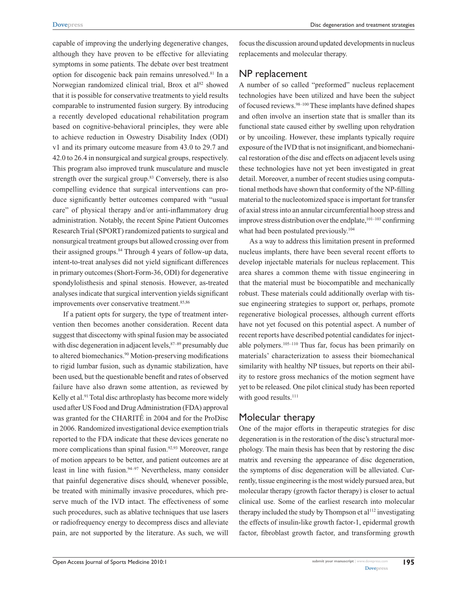capable of improving the underlying degenerative changes, although they have proven to be effective for alleviating symptoms in some patients. The debate over best treatment option for discogenic back pain remains unresolved.81 In a Norwegian randomized clinical trial, Brox et al<sup>82</sup> showed that it is possible for conservative treatments to yield results comparable to instrumented fusion surgery. By introducing a recently developed educational rehabilitation program based on cognitive-behavioral principles, they were able to achieve reduction in Oswestry Disability Index (ODI) v1 and its primary outcome measure from 43.0 to 29.7 and 42.0 to 26.4 in nonsurgical and surgical groups, respectively. This program also improved trunk musculature and muscle strength over the surgical group.<sup>83</sup> Conversely, there is also compelling evidence that surgical interventions can produce significantly better outcomes compared with "usual care" of physical therapy and/or anti-inflammatory drug administration. Notably, the recent Spine Patient Outcomes Research Trial (SPORT) randomized patients to surgical and nonsurgical treatment groups but allowed crossing over from their assigned groups.<sup>84</sup> Through 4 years of follow-up data, intent-to-treat analyses did not yield significant differences in primary outcomes (Short-Form-36, ODI) for degenerative spondylolisthesis and spinal stenosis. However, as-treated analyses indicate that surgical intervention yields significant improvements over conservative treatment.<sup>85,86</sup>

If a patient opts for surgery, the type of treatment intervention then becomes another consideration. Recent data suggest that discectomy with spinal fusion may be associated with disc degeneration in adjacent levels, $87-89$  presumably due to altered biomechanics.<sup>90</sup> Motion-preserving modifications to rigid lumbar fusion, such as dynamic stabilization, have been used, but the questionable benefit and rates of observed failure have also drawn some attention, as reviewed by Kelly et al.<sup>91</sup> Total disc arthroplasty has become more widely used after US Food and Drug Administration (FDA) approval was granted for the CHARITÉ in 2004 and for the ProDisc in 2006. Randomized investigational device exemption trials reported to the FDA indicate that these devices generate no more complications than spinal fusion.<sup>92,93</sup> Moreover, range of motion appears to be better, and patient outcomes are at least in line with fusion.<sup>94-97</sup> Nevertheless, many consider that painful degenerative discs should, whenever possible, be treated with minimally invasive procedures, which preserve much of the IVD intact. The effectiveness of some such procedures, such as ablative techniques that use lasers or radiofrequency energy to decompress discs and alleviate pain, are not supported by the literature. As such, we will

focus the discussion around updated developments in nucleus replacements and molecular therapy.

#### NP replacement

A number of so called "preformed" nucleus replacement technologies have been utilized and have been the subject of focused reviews.98–100 These implants have defined shapes and often involve an insertion state that is smaller than its functional state caused either by swelling upon rehydration or by uncoiling. However, these implants typically require exposure of the IVD that is not insignificant, and biomechanical restoration of the disc and effects on adjacent levels using these technologies have not yet been investigated in great detail. Moreover, a number of recent studies using computational methods have shown that conformity of the NP-filling material to the nucleotomized space is important for transfer of axial stress into an annular circumferential hoop stress and improve stress distribution over the endplate, $101-103$  confirming what had been postulated previously.<sup>104</sup>

As a way to address this limitation present in preformed nucleus implants, there have been several recent efforts to develop injectable materials for nucleus replacement. This area shares a common theme with tissue engineering in that the material must be biocompatible and mechanically robust. These materials could additionally overlap with tissue engineering strategies to support or, perhaps, promote regenerative biological processes, although current efforts have not yet focused on this potential aspect. A number of recent reports have described potential candidates for injectable polymers.<sup>105–110</sup> Thus far, focus has been primarily on materials' characterization to assess their biomechanical similarity with healthy NP tissues, but reports on their ability to restore gross mechanics of the motion segment have yet to be released. One pilot clinical study has been reported with good results.<sup>111</sup>

#### Molecular therapy

One of the major efforts in therapeutic strategies for disc degeneration is in the restoration of the disc's structural morphology. The main thesis has been that by restoring the disc matrix and reversing the appearance of disc degeneration, the symptoms of disc degeneration will be alleviated. Currently, tissue engineering is the most widely pursued area, but molecular therapy (growth factor therapy) is closer to actual clinical use. Some of the earliest research into molecular therapy included the study by Thompson et  $al<sup>112</sup>$  investigating the effects of insulin-like growth factor-1, epidermal growth factor, fibroblast growth factor, and transforming growth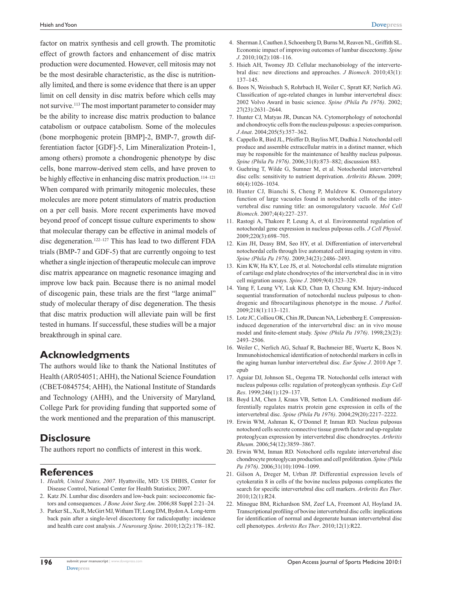factor on matrix synthesis and cell growth. The promitotic effect of growth factors and enhancement of disc matrix production were documented. However, cell mitosis may not be the most desirable characteristic, as the disc is nutritionally limited, and there is some evidence that there is an upper limit on cell density in disc matrix before which cells may not survive.113 The most important parameter to consider may be the ability to increase disc matrix production to balance catabolism or outpace catabolism. Some of the molecules (bone morphogenic protein [BMP]-2, BMP-7, growth differentiation factor [GDF]-5, Lim Mineralization Protein-1, among others) promote a chondrogenic phenotype by disc cells, bone marrow-derived stem cells, and have proven to be highly effective in enhancing disc matrix production.<sup>114-121</sup> When compared with primarily mitogenic molecules, these molecules are more potent stimulators of matrix production on a per cell basis. More recent experiments have moved beyond proof of concept tissue culture experiments to show that molecular therapy can be effective in animal models of disc degeneration.<sup>122–127</sup> This has lead to two different FDA trials (BMP-7 and GDF-5) that are currently ongoing to test whether a single injection of therapeutic molecule can improve disc matrix appearance on magnetic resonance imaging and improve low back pain. Because there is no animal model of discogenic pain, these trials are the first "large animal" study of molecular therapy of disc degeneration. The thesis that disc matrix production will alleviate pain will be first tested in humans. If successful, these studies will be a major breakthrough in spinal care.

#### **Acknowledgments**

The authors would like to thank the National Institutes of Health (AR054051; AHH), the National Science Foundation (CBET-0845754; AHH), the National Institute of Standards and Technology (AHH), and the University of Maryland, College Park for providing funding that supported some of the work mentioned and the preparation of this manuscript.

#### **Disclosure**

The authors report no conflicts of interest in this work.

#### **References**

- 1. *Health, United States, 2007*. Hyattsville, MD: US DHHS, Center for Disease Control, National Center for Health Statistics; 2007.
- 2. Katz JN. Lumbar disc disorders and low-back pain: socioeconomic factors and consequences. *J Bone Joint Surg Am*. 2006;88 Suppl 2:21–24.
- 3. Parker SL, Xu R, McGirt MJ, Witham TF, Long DM, Bydon A. Long-term back pain after a single-level discectomy for radiculopathy: incidence and health care cost analysis. *J Neurosurg Spine*. 2010;12(2):178–182.
- 4. Sherman J, Cauthen J, Schoenberg D, Burns M, Reaven NL, Griffith SL. Economic impact of improving outcomes of lumbar discectomy. *Spine J*. 2010;10(2):108–116.
- 5. Hsieh AH, Twomey JD. Cellular mechanobiology of the intervertebral disc: new directions and approaches. *J Biomech*. 2010;43(1): 137–145.
- 6. Boos N, Weissbach S, Rohrbach H, Weiler C, Spratt KF, Nerlich AG. Classification of age-related changes in lumbar intervertebral discs: 2002 Volvo Award in basic science. *Spine (Phila Pa 1976)*. 2002; 27(23):2631–2644.
- 7. Hunter CJ, Matyas JR, Duncan NA. Cytomorphology of notochordal and chondrocytic cells from the nucleus pulposus: a species comparison. *J Anat*. 2004;205(5):357–362.
- 8. Cappello R, Bird JL, Pfeiffer D, Bayliss MT, Dudhia J. Notochordal cell produce and assemble extracellular matrix in a distinct manner, which may be responsible for the maintenance of healthy nucleus pulposus. *Spine (Phila Pa 1976)*. 2006;31(8):873–882; discussion 883.
- 9. Guehring T, Wilde G, Sumner M, et al. Notochordal intervertebral disc cells: sensitivity to nutrient deprivation. *Arthritis Rheum*. 2009; 60(4):1026–1034.
- 10. Hunter CJ, Bianchi S, Cheng P, Muldrew K. Osmoregulatory function of large vacuoles found in notochordal cells of the intervertebral disc running title: an osmoregulatory vacuole. *Mol Cell Biomech*. 2007;4(4):227–237.
- 11. Rastogi A, Thakore P, Leung A, et al. Environmental regulation of notochordal gene expression in nucleus pulposus cells. *J Cell Physiol*. 2009;220(3):698–705.
- 12. Kim JH, Deasy BM, Seo HY, et al. Differentiation of intervertebral notochordal cells through live automated cell imaging system in vitro. *Spine (Phila Pa 1976)*. 2009;34(23):2486–2493.
- 13. Kim KW, Ha KY, Lee JS, et al. Notochordal cells stimulate migration of cartilage end plate chondrocytes of the intervertebral disc in in vitro cell migration assays. *Spine J*. 2009;9(4):323–329.
- 14. Yang F, Leung VY, Luk KD, Chan D, Cheung KM. Injury-induced sequential transformation of notochordal nucleus pulposus to chondrogenic and fibrocartilaginous phenotype in the mouse. *J Pathol*. 2009;218(1):113–121.
- 15. Lotz JC, Colliou OK, Chin JR, Duncan NA, Liebenberg E. Compressioninduced degeneration of the intervertebral disc: an in vivo mouse model and finite-element study. *Spine (Phila Pa 1976)*. 1998;23(23): 2493–2506.
- 16. Weiler C, Nerlich AG, Schaaf R, Bachmeier BE, Wuertz K, Boos N. Immunohistochemical identification of notochordal markers in cells in the aging human lumbar intervertebral disc. *Eur Spine J*. 2010 Apr 7. epub
- 17. Aguiar DJ, Johnson SL, Oegema TR. Notochordal cells interact with nucleus pulposus cells: regulation of proteoglycan synthesis. *Exp Cell Res*. 1999;246(1):129–137.
- 18. Boyd LM, Chen J, Kraus VB, Setton LA. Conditioned medium differentially regulates matrix protein gene expression in cells of the intervertebral disc. *Spine (Phila Pa 1976)*. 2004;29(20):2217–2222.
- 19. Erwin WM, Ashman K, O'Donnel P, Inman RD. Nucleus pulposus notochord cells secrete connective tissue growth factor and up-regulate proteoglycan expression by intervertebral disc chondrocytes. *Arthritis Rheum*. 2006;54(12):3859–3867.
- 20. Erwin WM, Inman RD. Notochord cells regulate intervertebral disc chondrocyte proteoglycan production and cell proliferation. *Spine (Phila Pa 1976)*. 2006;31(10):1094–1099.
- 21. Gilson A, Dreger M, Urban JP. Differential expression levels of cytokeratin 8 in cells of the bovine nucleus pulposus complicates the search for specific intervertebral disc cell markers. *Arthritis Res Ther*. 2010;12(1):R24.
- 22. Minogue BM, Richardson SM, Zeef LA, Freemont AJ, Hoyland JA. Transcriptional profiling of bovine intervertebral disc cells: implications for identification of normal and degenerate human intervertebral disc cell phenotypes. *Arthritis Res Ther*. 2010;12(1):R22.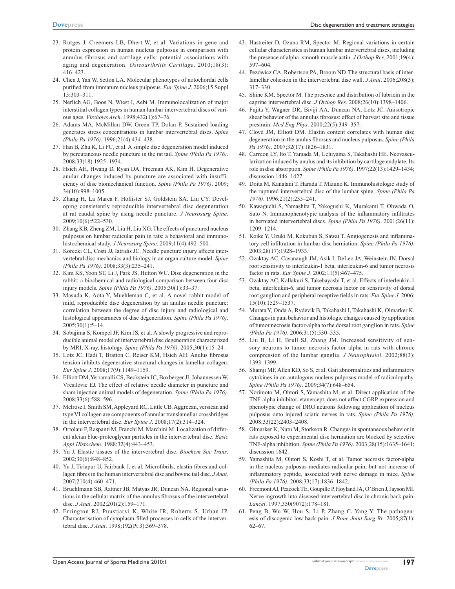- 23. Rutges J, Creemers LB, Dhert W, et al. Variations in gene and protein expression in human nucleus pulposus in comparison with annulus fibrosus and cartilage cells: potential associations with aging and degeneration. *Osteoarthritis Cartilage*. 2010;18(3): 416–423.
- 24. Chen J, Yan W, Setton LA. Molecular phenotypes of notochordal cells purified from immature nucleus pulposus. *Eur Spine J*. 2006;15 Suppl 15:303–311.
- 25. Nerlich AG, Boos N, Wiest I, Aebi M. Immunolocalization of major interstitial collagen types in human lumbar intervertebral discs of various ages. *Virchows Arch*. 1998;432(1):67–76.
- 26. Adams MA, McMillan DW, Green TP, Dolan P. Sustained loading generates stress concentrations in lumbar intervertebral discs. *Spine (Phila Pa 1976)*. 1996;21(4):434–438.
- 27. Han B, Zhu K, Li FC, et al. A simple disc degeneration model induced by percutaneous needle puncture in the rat tail. *Spine (Phila Pa 1976)*. 2008;33(18):1925–1934.
- 28. Hsieh AH, Hwang D, Ryan DA, Freeman AK, Kim H. Degenerative anular changes induced by puncture are associated with insufficiency of disc biomechanical function. *Spine (Phila Pa 1976)*. 2009; 34(10):998–1005.
- 29. Zhang H, La Marca F, Hollister SJ, Goldstein SA, Lin CY. Developing consistently reproducible intervertebral disc degeneration at rat caudal spine by using needle puncture. *J Neurosurg Spine*. 2009;10(6):522–530.
- 30. Zhang KB, Zheng ZM, Liu H, Liu XG. The effects of punctured nucleus pulposus on lumbar radicular pain in rats: a behavioral and immunohistochemical study. *J Neurosurg Spine*. 2009;11(4):492–500.
- 31. Korecki CL, Costi JJ, Iatridis JC. Needle puncture injury affects intervertebral disc mechanics and biology in an organ culture model. *Spine (Phila Pa 1976)*. 2008;33(3):235–241.
- 32. Kim KS, Yoon ST, Li J, Park JS, Hutton WC. Disc degeneration in the rabbit: a biochemical and radiological comparison between four disc injury models. *Spine (Phila Pa 1976)*. 2005;30(1):33–37.
- 33. Masuda K, Aota Y, Muehleman C, et al. A novel rabbit model of mild, reproducible disc degeneration by an anulus needle puncture: correlation between the degree of disc injury and radiological and histological appearances of disc degeneration. *Spine (Phila Pa 1976)*. 2005;30(1):5–14.
- 34. Sobajima S, Kompel JF, Kim JS, et al. A slowly progressive and reproducible animal model of intervertebral disc degeneration characterized by MRI, X-ray, histology. *Spine (Phila Pa 1976)*. 2005;30(1):15–24.
- 35. Lotz JC, Hadi T, Bratton C, Reiser KM, Hsieh AH. Anulus fibrosus tension inhibits degenerative structural changes in lamellar collagen. *Eur Spine J*. 2008;17(9):1149–1159.
- 36. Elliott DM, Yerramalli CS, Beckstein JC, Boxberger JI, Johannessen W, Vresilovic EJ. The effect of relative needle diameter in puncture and sham injection animal models of degeneration. *Spine (Phila Pa 1976)*. 2008;33(6):588–596.
- 37. Melrose J, Smith SM, Appleyard RC, Little CB. Aggrecan, versican and type VI collagen are components of annular translamellar crossbridges in the intervertebral disc. *Eur Spine J*. 2008;17(2):314–324.
- 38. Ortolani F, Raspanti M, Franchi M, Marchini M. Localization of different alcian blue-proteoglycan particles in the intervertebral disc. *Basic Appl Histochem*. 1988;32(4):443–453.
- 39. Yu J. Elastic tissues of the intervertebral disc. *Biochem Soc Trans*. 2002;30(6):848–852.
- 40. Yu J, Tirlapur U, Fairbank J, et al. Microfibrils, elastin fibres and collagen fibres in the human intervertebral disc and bovine tail disc. *J Anat*. 2007;210(4):460–471.
- 41. Bruehlmann SB, Rattner JB, Matyas JR, Duncan NA. Regional variations in the cellular matrix of the annulus fibrosus of the intervertebral disc. *J Anat*. 2002;201(2):159–171.
- 42. Errington RJ, Puustjarvi K, White IR, Roberts S, Urban JP. Characterisation of cytoplasm-filled processes in cells of the intervertebral disc. *J Anat*. 1998;192(Pt 3):369–378.
- 43. Hastreiter D, Ozuna RM, Spector M. Regional variations in certain cellular characteristics in human lumbar intervertebral discs, including the presence of alpha- smooth muscle actin. *J Orthop Res*. 2001;19(4): 597–604.
- 44. Pezowicz CA, Robertson PA, Broom ND. The structural basis of interlamellar cohesion in the intervertebral disc wall. *J Anat*. 2006;208(3): 317–330.
- 45. Shine KM, Spector M. The presence and distribution of lubricin in the caprine intervertebral disc. *J Orthop Res*. 2008;26(10):1398–1406.
- 46. Fujita Y, Wagner DR, Biviji AA, Duncan NA, Lotz JC. Anisotropic shear behavior of the annulus fibrosus: effect of harvest site and tissue prestrain. *Med Eng Phys*. 2000;22(5):349–357.
- 47. Cloyd JM, Elliott DM. Elastin content correlates with human disc degeneration in the anulus fibrosus and nucleus pulposus. *Spine (Phila Pa 1976)*. 2007;32(17):1826–1831.
- 48. Carreon LY, Ito T, Yamada M, Uchiyama S, Takahashi HE. Neovascularization induced by anulus and its inhibition by cartilage endplate. Its role in disc absorption. *Spine (Phila Pa 1976)*. 1997;22(13):1429–1434; discussion 1446–1427.
- 49. Doita M, Kanatani T, Harada T, Mizuno K. Immunohistologic study of the ruptured intervertebral disc of the lumbar spine. *Spine (Phila Pa 1976)*. 1996;21(2):235–241.
- 50. Kawaguchi S, Yamashita T, Yokogushi K, Murakami T, Ohwada O, Sato N. Immunophenotypic analysis of the inflammatory infiltrates in herniated intervertebral discs. *Spine (Phila Pa 1976)*. 2001;26(11): 1209–1214.
- 51. Koike Y, Uzuki M, Kokubun S, Sawai T. Angiogenesis and inflammatory cell infiltration in lumbar disc herniation. *Spine (Phila Pa 1976)*. 2003;28(17):1928–1933.
- 52. Ozaktay AC, Cavanaugh JM, Asik I, DeLeo JA, Weinstein JN. Dorsal root sensitivity to interleukin-1 beta, interleukin-6 and tumor necrosis factor in rats. *Eur Spine J*. 2002;11(5):467–475.
- 53. Ozaktay AC, Kallakuri S, Takebayashi T, et al. Effects of interleukin-1 beta, interleukin-6, and tumor necrosis factor on sensitivity of dorsal root ganglion and peripheral receptive fields in rats. *Eur Spine J*. 2006; 15(10):1529–1537.
- 54. Murata Y, Onda A, Rydevik B, Takahashi I, Takahashi K, Olmarker K. Changes in pain behavior and histologic changes caused by application of tumor necrosis factor-alpha to the dorsal root ganglion in rats. *Spine (Phila Pa 1976)*. 2006;31(5):530–535.
- 55. Liu B, Li H, Brull SJ, Zhang JM. Increased sensitivity of sensory neurons to tumor necrosis factor alpha in rats with chronic compression of the lumbar ganglia. *J Neurophysiol*. 2002;88(3): 1393–1399.
- 56. Shamji MF, Allen KD, So S, et al. Gait abnormalities and inflammatory cytokines in an autologous nucleus pulposus model of radiculopathy. *Spine (Phila Pa 1976)*. 2009;34(7):648–654.
- 57. Norimoto M, Ohtori S, Yamashita M, et al. Direct application of the TNF-alpha inhibitor, etanercept, does not affect CGRP expression and phenotypic change of DRG neurons following application of nucleus pulposus onto injured sciatic nerves in rats. *Spine (Phila Pa 1976)*. 2008;33(22):2403–2408.
- 58. Olmarker K, Nutu M, Storkson R. Changes in spontaneous behavior in rats exposed to experimental disc herniation are blocked by selective TNF-alpha inhibition. *Spine (Phila Pa 1976)*. 2003;28(15):1635–1641; discussion 1642.
- 59. Yamashita M, Ohtori S, Koshi T, et al. Tumor necrosis factor-alpha in the nucleus pulposus mediates radicular pain, but not increase of inflammatory peptide, associated with nerve damage in mice. *Spine (Phila Pa 1976)*. 2008;33(17):1836–1842.
- 60. Freemont AJ, Peacock TE, Goupille P, Hoyland JA, O'Brien J, Jayson MI. Nerve ingrowth into diseased intervertebral disc in chronic back pain. *Lancet*. 1997;350(9072):178–181.
- 61. Peng B, Wu W, Hou S, Li P, Zhang C, Yang Y. The pathogenesis of discogenic low back pain. *J Bone Joint Surg Br*. 2005;87(1): 62–67.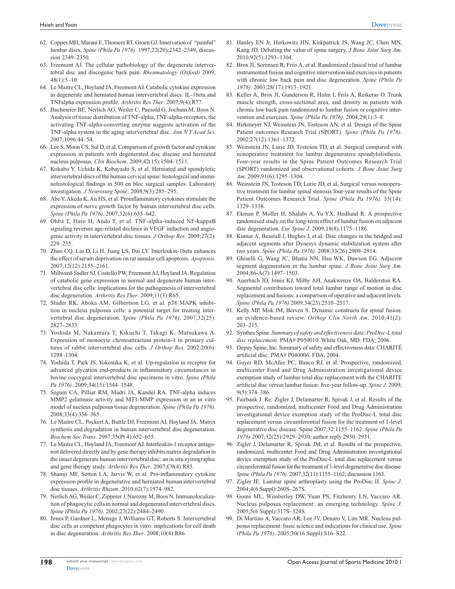- 62. Coppes MH, Marani E, Thomeer RT, Groen GJ. Innervation of "painful" lumbar discs. *Spine (Phila Pa 1976)*. 1997;22(20):2342–2349; discussion 2349–2350.
- 63. Freemont AJ. The cellular pathobiology of the degenerate intervertebral disc and discogenic back pain. *Rheumatology (Oxford)* 2009; 48(1):5–10.
- 64. Le Maitre CL, Hoyland JA, Freemont AJ. Catabolic cytokine expression in degenerate and herniated human intervertebral discs: IL-1beta and TNFalpha expression profile. *Arthritis Res Ther*. 2007;9(4):R77.
- 65. Bachmeier BE, Nerlich AG, Weiler C, Paesold G, Jochum M, Boos N. Analysis of tissue distribution of TNF-alpha, TNF-alpha-receptors, the activating TNF-alpha-converting enzyme suggests activation of the TNF-alpha system in the aging intervertebral disc. *Ann N Y Acad Sci*. 2007;1096:44–54.
- 66. Lee S, Moon CS, Sul D, et al. Comparison of growth factor and cytokine expression in patients with degenerated disc disease and herniated nucleus pulposus. *Clin Biochem*. 2009;42(15):1504–1511.
- 67. Kokubo Y, Uchida K, Kobayashi S, et al. Herniated and spondylotic intervertebral discs of the human cervical spine: histological and immunohistological findings in 500 en bloc surgical samples. Laboratory investigation. *J Neurosurg Spine*. 2008;9(3):285–295.
- 68. Abe Y, Akeda K, An HS, et al. Proinflammatory cytokines stimulate the expression of nerve growth factor by human intervertebral disc cells. *Spine (Phila Pa 1976)*. 2007;32(6):635–642.
- 69. Ohba T, Haro H, Ando T, et al. TNF-alpha-induced NF-kappaB signaling reverses age-related declines in VEGF induction and angiogenic activity in intervertebral disc tissues. *J Orthop Res*. 2009;27(2): 229–235.
- 70. Zhao CQ, Liu D, Li H, Jiang LS, Dai LY. Interleukin-1beta enhances the effect of serum deprivation on rat annular cell apoptosis. *Apoptosis*. 2007;12(12):2155–2161.
- 71. Millward-Sadler SJ, Costello PW, Freemont AJ, Hoyland JA. Regulation of catabolic gene expression in normal and degenerate human intervertebral disc cells: implications for the pathogenesis of intervertebral disc degeneration. *Arthritis Res Ther*. 2009;11(3):R65.
- 72. Studer RK, Aboka AM, Gilbertson LG, et al. p38 MAPK inhibition in nucleus pulposus cells: a potential target for treating intervertebral disc degeneration. *Spine (Phila Pa 1976)*. 2007;32(25): 2827–2833.
- 73. Yoshida M, Nakamura T, Kikuchi T, Takagi K, Matsukawa A. Expression of monocyte chemoattractant protein-1 in primary cultures of rabbit intervertebral disc cells. *J Orthop Res*. 2002;20(6): 1298–1304.
- 74. Yoshida T, Park JS, Yokosuka K, et al. Up-regulation in receptor for advanced glycation end-products in inflammatory circumstances in bovine coccygeal intervertebral disc specimens in vitro. *Spine (Phila Pa 1976)*. 2009;34(15):1544–1548.
- 75. Seguin CA, Pilliar RM, Madri JA, Kandel RA. TNF-alpha induces MMP2 gelatinase activity and MT1-MMP expression in an in vitro model of nucleus pulposus tissue degeneration. *Spine (Phila Pa 1976)*. 2008;33(4):356–365.
- 76. Le Maitre CL, Pockert A, Buttle DJ, Freemont AJ, Hoyland JA. Matrix synthesis and degradation in human intervertebral disc degeneration. *Biochem Soc Trans*. 2007;35(Pt 4):652–655.
- 77. Le Maitre CL, Hoyland JA, Freemont AJ. Interleukin-1 receptor antagonist delivered directly and by gene therapy inhibits matrix degradation in the intact degenerate human intervertebral disc: an in situ zymographic and gene therapy study. *Arthritis Res Ther*. 2007;C9(4):R83.
- 78. Shamji MF, Setton LA, Jarvis W, et al. Pro-inflammatory cytokine expression profile in degenerative and herniated human intervertebral disc tissues. *Arthritis Rheum*. 2010;62(7):1974–982.
- 79. Nerlich AG, Weiler C, Zipperer J, Narozny M, Boos N. Immunolocalization of phagocytic cells in normal and degenerated intervertebral discs. *Spine (Phila Pa 1976)*. 2002;27(22):2484–2490.
- 80. Jones P, Gardner L, Menage J, Williams GT, Roberts S. Intervertebral disc cells as competent phagocytes in vitro: implications for cell death in disc degeneration. *Arthritis Res Ther*. 2008;10(4):R86.
- 81. Hanley EN Jr, Herkowitz HN, Kirkpatrick JS, Wang JC, Chen MN, Kang JD. Debating the value of spine surgery. *J Bone Joint Surg Am*. 2010;92(5):1293–1304.
- 82. Brox JI, Sorensen R, Friis A, et al. Randomized clinical trial of lumbar instrumented fusion and cognitive intervention and exercises in patients with chronic low back pain and disc degeneration. *Spine (Phila Pa 1976)*. 2003;28(17):1913–1921.
- 83. Keller A, Brox JI, Gunderson R, Holm I, Friis A, Reikeras O. Trunk muscle strength, cross-sectional area, and density in patients with chronic low back pain randomized to lumbar fusion or cognitive intervention and exercises. *Spine (Phila Pa 1976)*. 2004;29(1):3–8.
- 84. Birkmeyer NJ, Weinstein JN, Tosteson AN, et al. Design of the Spine Patient outcomes Research Trial (SPORT). *Spine (Phila Pa 1976)*. 2002;27(12):1361–1372.
- 85. Weinstein JN, Lurie JD, Tosteson TD, et al. Surgical compared with nonoperative treatment for lumbar degenerative spondylolisthesis. Four-year results in the Spine Patient Outcomes Research Trial (SPORT) randomized and observational cohorts. *J Bone Joint Surg Am*. 2009;91(6):1295–1304.
- 86. Weinstein JN, Tosteson TD, Lurie JD, et al. Surgical versus nonoperative treatment for lumbar spinal stenosis four-year results of the Spine Patient Outcomes Research Trial. *Spine (Phila Pa 1976)*. 35(14): 1329–1338.
- 87. Ekman P, Moller H, Shalabi A, Yu YX, Hedlund R. A prospective randomised study on the long-term effect of lumbar fusion on adjacent disc degeneration. *Eur Spine J*. 2009;18(8):1175–1186.
- 88. Kumar A, Beastall J, Hughes J, et al. Disc changes in the bridged and adjacent segments after Dynesys dynamic stabilization system after two years. *Spine (Phila Pa 1976)*. 2008;33(26):2909–2914.
- 89. Ghiselli G, Wang JC, Bhatia NN, Hsu WK, Dawson EG. Adjacent segment degeneration in the lumbar spine. *J Bone Joint Surg Am*. 2004;86-A(7):1497–1503.
- 90. Auerbach JD, Jones KJ, Milby AH, Anakwenze OA, Balderston RA. Segmental contribution toward total lumbar range of motion in disc replacement and fusions: a comparison of operative and adjacent levels. *Spine (Phila Pa 1976)* 2009;34(23):2510–2517.
- 91. Kelly MP, Mok JM, Berven S. Dynamic constructs for spinal fusion: an evidence-based review. *Orthop Clin North Am*. 2010;41(2): 203–215.
- 92. Synthes Spine. *Summary of safety and effectiveness data: ProDisc-L total disc replacement*. PMA# P050010. White Oak, MD: FDA; 2006.
- 93. Depuy Spine, Inc. Summary of safety and effectiveness data: CHARITÉ artificial disc. PMA# P040006. FDA, 2004.
- 94. Guyer RD, McAfee PC, Banco RJ, et al. Prospective, randomized, multicenter Food and Drug Administration investigational device exemption study of lumbar total disc replacement with the CHARITE artificial disc versus lumbar fusion: five-year follow-up. *Spine J*. 2009; 9(5):374–386.
- 95. Fairbank J. Re: Zigler J, Delamarter R, Spivak J, et al. Results of the prospective, randomized, multicenter Food and Drug Administration investigational device exemption study of the ProDisc-L total disc replacement versus circumferential fusion for the treatment of 1-level degenerative disc disease. Spine 2007;32:1155–1162. *Spine (Phila Pa 1976)* 2007;32(25):2929–2930; author reply 2930–2931.
- 96. Zigler J, Delamarter R, Spivak JM, et al. Results of the prospective, randomized, multicenter Food and Drug Administration investigational device exemption study of the ProDisc-L total disc replacement versus circumferential fusion for the treatment of 1-level degenerative disc disease. *Spine (Phila Pa 1976)*. 2007;32(11):1155–1162; discussion 1163.
- 97. Zigler JE. Lumbar spine arthroplasty using the ProDisc II. *Spine J*. 2004;4(6 Suppl):260S–267S.
- 98. Goins ML, Wimberley DW, Yuan PS, Fitzhenry LN, Vaccaro AR. Nucleus pulposus replacement: an emerging technology. *Spine J*. 2005;5(6 Suppl):317S–324S.
- 99. Di Martino A, Vaccaro AR, Lee JY, Denaro V, Lim MR. Nucleus pulposus replacement: basic science and indications for clinical use. *Spine (Phila Pa 1976)*. 2005;30(16 Suppl):S16–S22.